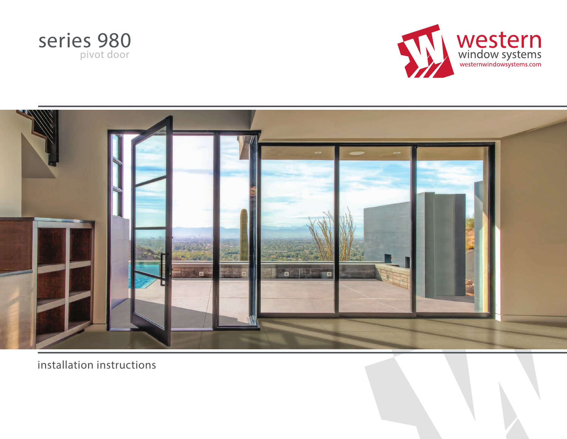





installation instructions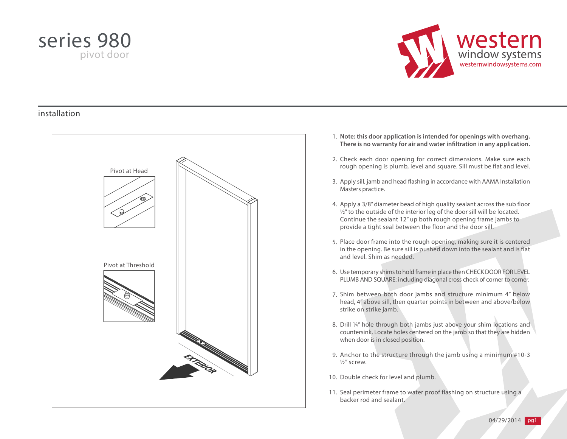# series 980 pivot door



### installation



- **Note: this door application is intended for openings with overhang.**  1. **There is no warranty for air and water infiltration in any application.**
- 2. Check each door opening for correct dimensions. Make sure each rough opening is plumb, level and square. Sill must be flat and level.
- 3. Apply sill, jamb and head flashing in accordance with AAMA Installation Masters practice.
- 4. Apply a 3/8" diameter bead of high quality sealant across the sub floor ½" to the outside of the interior leg of the door sill will be located. Continue the sealant 12" up both rough opening frame jambs to provide a tight seal between the floor and the door sill.
- 5. Place door frame into the rough opening, making sure it is centered in the opening. Be sure sill is pushed down into the sealant and is flat and level. Shim as needed.
- 6. Use temporary shims to hold frame in place then CHECK DOOR FOR LEVEL PLUMB AND SQUARE: including diagonal cross check of corner to corner.
- 7. Shim between both door jambs and structure minimum 4" below head, 4" above sill, then quarter points in between and above/below strike on strike jamb.
- 8. Drill 1/4" hole through both jambs just above your shim locations and countersink. Locate holes centered on the jamb so that they are hidden when door is in closed position.
- 9. Anchor to the structure through the jamb using a minimum #10-3  $\frac{1}{2}$ " screw.
- 10. Double check for level and plumb.
- 11. Seal perimeter frame to water proof flashing on structure using a backer rod and sealant.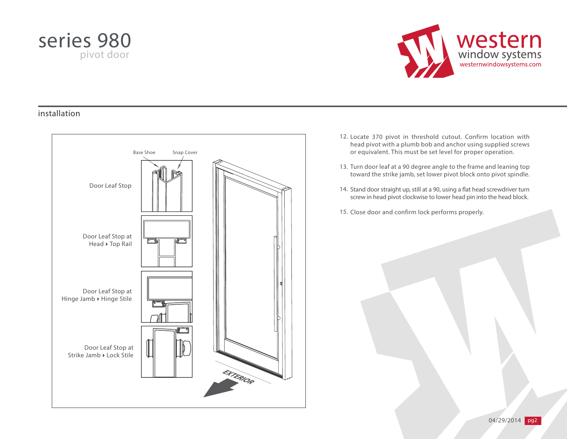# series 980 pivot door



## installation



- 12. Locate 370 pivot in threshold cutout. Confirm location with head pivot with a plumb bob and anchor using supplied screws or equivalent. This must be set level for proper operation.
- 13. Turn door leaf at a 90 degree angle to the frame and leaning top toward the strike jamb, set lower pivot block onto pivot spindle.
- 14. Stand door straight up, still at a 90, using a flat head screwdriver turn screw in head pivot clockwise to lower head pin into the head block.
- 15. Close door and confirm lock performs properly.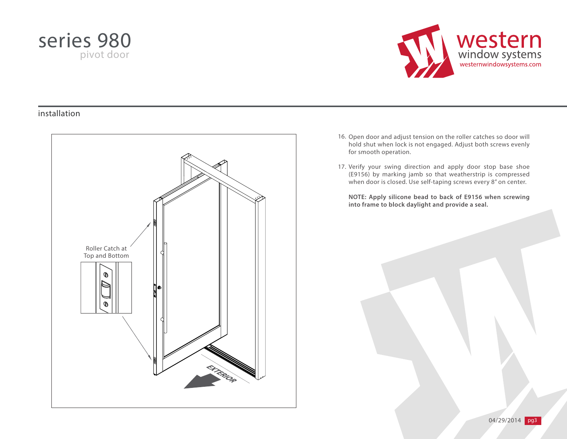



### installation



- 16. Open door and adjust tension on the roller catches so door will hold shut when lock is not engaged. Adjust both screws evenly for smooth operation.
- 17. Verify your swing direction and apply door stop base shoe (E9156) by marking jamb so that weatherstrip is compressed when door is closed. Use self-taping screws every 8" on center.

**NOTE: Apply silicone bead to back of E9156 when screwing into frame to block daylight and provide a seal.**